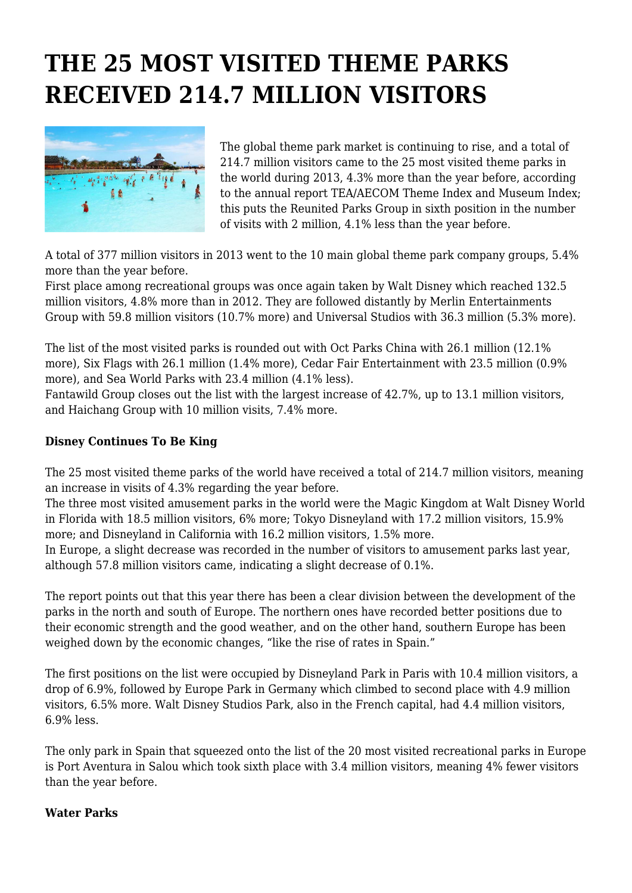## **THE 25 MOST VISITED THEME PARKS RECEIVED 214.7 MILLION VISITORS**



The global theme park market is continuing to rise, and a total of 214.7 million visitors came to the 25 most visited theme parks in the world during 2013, 4.3% more than the year before, according to the annual report TEA/AECOM Theme Index and Museum Index: this puts the Reunited Parks Group in sixth position in the number of visits with 2 million, 4.1% less than the year before.

A total of 377 million visitors in 2013 went to the 10 main global theme park company groups, 5.4% more than the year before.

First place among recreational groups was once again taken by Walt Disney which reached 132.5 million visitors, 4.8% more than in 2012. They are followed distantly by Merlin Entertainments Group with 59.8 million visitors (10.7% more) and Universal Studios with 36.3 million (5.3% more).

The list of the most visited parks is rounded out with Oct Parks China with 26.1 million (12.1% more), Six Flags with 26.1 million (1.4% more), Cedar Fair Entertainment with 23.5 million (0.9% more), and Sea World Parks with 23.4 million (4.1% less).

Fantawild Group closes out the list with the largest increase of 42.7%, up to 13.1 million visitors, and Haichang Group with 10 million visits, 7.4% more.

## **Disney Continues To Be King**

The 25 most visited theme parks of the world have received a total of 214.7 million visitors, meaning an increase in visits of 4.3% regarding the year before.

The three most visited amusement parks in the world were the Magic Kingdom at Walt Disney World in Florida with 18.5 million visitors, 6% more; Tokyo Disneyland with 17.2 million visitors, 15.9% more; and Disneyland in California with 16.2 million visitors, 1.5% more.

In Europe, a slight decrease was recorded in the number of visitors to amusement parks last year, although 57.8 million visitors came, indicating a slight decrease of 0.1%.

The report points out that this year there has been a clear division between the development of the parks in the north and south of Europe. The northern ones have recorded better positions due to their economic strength and the good weather, and on the other hand, southern Europe has been weighed down by the economic changes, "like the rise of rates in Spain."

The first positions on the list were occupied by Disneyland Park in Paris with 10.4 million visitors, a drop of 6.9%, followed by Europe Park in Germany which climbed to second place with 4.9 million visitors, 6.5% more. Walt Disney Studios Park, also in the French capital, had 4.4 million visitors, 6.9% less.

The only park in Spain that squeezed onto the list of the 20 most visited recreational parks in Europe is Port Aventura in Salou which took sixth place with 3.4 million visitors, meaning 4% fewer visitors than the year before.

## **Water Parks**